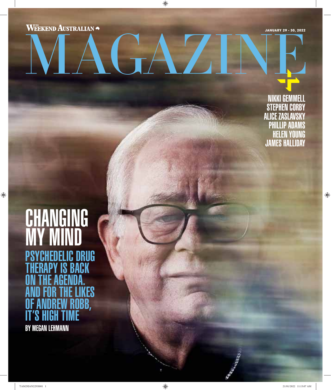**WEEKEND AUSTRALIAN** 

 $\bigoplus$ 

**JANUARY 29 - 30, 2022**

NIKKI GEMMELL STEPHEN CORBY ALICE ZASLAVSKY PHILLIP ADAMS HELEN YOUNG JAMES HALLIDAY

 $\bigoplus$ 

## CHANGING MY MIND PSYCHEDELIC DRUG THERAPY IS BACK ON THE AGENDA. **KES** <mark>lobb</mark>,<br>Ie IT'S HIGH TIME BY MEGAN LEHMANN

 $\bigoplus$ 

TAM29JAN22NS001 1 21/01/2022 11:15:07 AM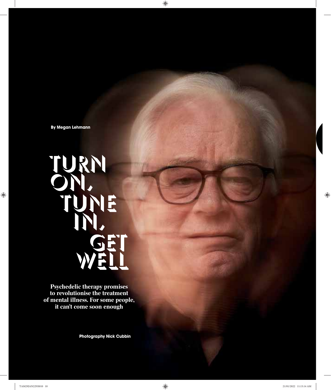**By Megan Lehmann**

## TURN TUNE

**Psychedelic therapy promises to revolutionise the treatment of mental illness. For some people, it can't come soon enough**

**Photography Nick Cubbin**

 $\bigoplus$ 

 $\bigoplus$ 

 $\bigoplus$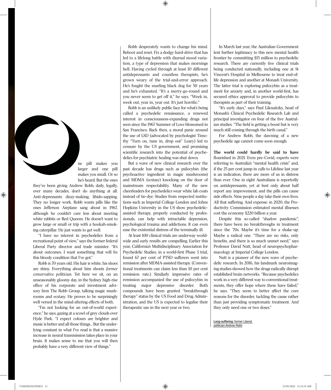⊕

ne pill makes you larger and one pill makes you small. Or so he's heard. But the ones

they've been giving Andrew Robb, daily, legally, over many decades, don't do anything at all. Anti-depressants: dizzy-making, libido-sapping. They no longer work. Robb wants pills like the ones Jefferson Airplane sang about in 1967, although he couldn't care less about meeting white rabbits or Red Queens. He doesn't want to grow large or small or trip with a hookah-smoking caterpillar. He just wants to get well.

"I have no interest in psychedelics from a recreational point of view," says the former federal Liberal Party director and trade minister. "It's about outcomes. I want something that will fix this bloody condition that I've got."

Robb is 70 years old. His hair is white, his shoes are shiny. Everything about him shouts *former conservative politician*. Yet here we sit, on an unseasonably gloomy day, in the Sydney high-rise office of his corporate and investment advisory firm The Robb Group, talking magic mushrooms and ecstasy. He proves to be surprisingly well versed in the mind-altering effects of both.

"I'm not looking for an out-of-world experience," he says, gazing at a scowl of grey clouds over Hyde Park. "I expect colours are brighter and music is better and all those things... But the underlying constant in what I've read is that a massive increase in neural transmission takes place in your brain. It makes sense to me that you will then probably have a very different view of things."

Robb desperately wants to change his mind. Reboot and reset. Fix a dodgy hard-drive that has led to a lifelong battle with diurnal mood variation, a type of depression that makes mornings hell. Having cycled through at least 10 different antidepressants and countless therapists, he's grown weary of the trial-and-error approach. He's fought the snarling black dog for 50 years and he's exhausted. "It's a merry-go-round and you never seem to get off it," he says. "Week in, week out, year in, year out. It's just horrific."

Robb is an unlikely public face for what's being called a psychedelic renaissance, a renewed interest in consciousness-expanding drugs not seen since the 1967 Summer of Love blossomed in San Francisco. Back then, a moral panic around the use of LSD (advocated by psychologist Timothy "Turn on, tune in, drop out" Leary) led to censure by the US government, and promising scientific research into the potential of psychedelics for psychiatric healing was shut down.

But a wave of new clinical research over the past decade has drugs such as psilocybin (the psychoactive ingredient in magic mushrooms) and MDMA (ecstasy) knocking on the door of mainstream respectability. Many of the new cheerleaders for psychedelics wear white lab coats instead of tie-dye. Studies from respected institutions such as Imperial College London and Johns Hopkins University in the US show psychedelicassisted therapy, properly conducted by professionals, can help with intractable depression, psychological trauma and addictions. It can even ease the existential distress of the terminally ill.

At least 100 clinical trials are underway worldwide and early results are compelling. Earlier this year, California's Multidisciplinary Association for Psychedelic Studies, in a world-first Phase 3 trial, found 67 per cent of PTSD sufferers went into remission after MDMA-assisted therapy. (Conventional treatments can claim less than 10 per cent remission rate.) Similarly impressive rates of remission accompanied the use of psilocybin in treating major depressive disorder. Both compounds have been granted "breakthrough therapy" status by the US Food and Drug Administration, and the US is expected to legalise their therapeutic use in the next year or two.

In March last year, the Australian Government lent further legitimacy to this new mental health frontier by committing \$15 million to psychedelic research. There are currently five clinical trials being conducted nationally, including one at St Vincent's Hospital in Melbourne to treat end-oflife depression and another at Monash University. The latter trial is exploring psilocybin as a treatment for anxiety and, in another world-first, has secured ethics approval to provide psilocybin to therapists as part of their training.

"It's early days," says Paul Liknaitzky, head of Monash's Clinical Psychedelic Research Lab and principal investigator on four of the five Australian studies. "The field is getting a boost but is very much still coming through the birth canal."

For Andrew Robb, the dawning of a new psychedelic age cannot come soon enough.

**The world could hardly be said to have** flourished in 2021. Even pre-Covid, experts were referring to Australia's "mental health crisis" and, if the 25 per cent jump in calls to Lifeline last year is an indication, there are more of us in distress than ever. One in eight Australians is reportedly on antidepressants, yet at best only about half report any improvement, and the pills can cause side effects. Nine people a day take their own lives. All that suffering. And expense: in 2020, the Productivity Commission estimated mental illnesses cost the economy \$220 billion a year.

Despite this so-called "shadow pandemic", there have been no breakthroughs in treatment since the '70s. Maybe it's time for a shake-up. Maybe a radical one. "There are no risks, only benefits, and there is so much unmet need," says Professor David Nutt, head of neuropsychopharmacology at Imperial College London.

Nutt is a pioneer of the new wave of psychedelic research. In 2016, his landmark neuroimaging studies showed how the drugs radically disrupt established brain networks. "Because psychedelics work in a very different way to conventional treatments, they offer hope where these have failed," he says. "They seem to better affect the core reasons for the disorder, tackling the cause rather than just providing symptomatic treatment. And they only need one or two doses."

Long-suffering: former Liberal politician Andrew Robb

 $\bigoplus$ 

⊕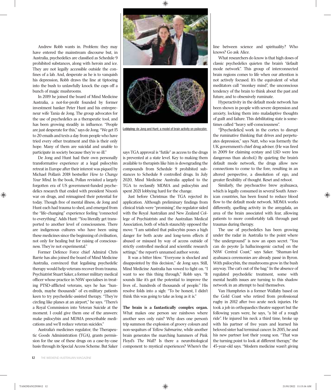♠



In 2019 he joined the board of Mind Medicine Australia, a not-for-profit founded by former investment banker Peter Hunt and his entrepreneur wife Tania de Jong. The group advocates for the use of psychedelics as a therapeutic tool, and has been growing steadily in influence. "People are just desperate for this," says de Jong. "We get 15 to 20 emails and texts a day from people who have tried every other treatment and this is their only hope. Many of them are suicidal and unable to participate in society because they're so ill."

De Jong and Hunt had their own personally transformative experience at a legal psilocybin retreat in Europe after their interest was piqued by Michael Pollan's 2018 bestseller *How to Change Your Mind*. In the book, Pollan revisited a largely forgotten era of US government-funded psychedelics research that ended with president Nixon's war on drugs, and reimagined their potential for today. Though free of mental illness, de Jong and Hunt each had trauma to shed, and emerged from the "life-changing" experience feeling "connected to everything". Adds Hunt: "You literally get transported to another level of consciousness. There are indigenous cultures who have been using these medicines since the beginning of civilisation, not only for healing but for raising of consciousness. They're not experimental."

Former Defence Force chief Admiral Chris Barrie has also joined the board of Mind Medicine Australia, convinced that legalising psychedelic therapy would help veterans recover from trauma. Psychiatrist Stuart Saker, a former military medical officer whose practice in NSW specialises in treating PTSD-afflicted veterans, says he has "hundreds, maybe thousands" of ex-military patients keen to try psychedelic-assisted therapy. "They're circling like planes at an airport," he says. "There's a Royal Commission into Veteran Suicide at the moment. I could give them one of the answers: make psilocybin and MDMA prescribable medications and we'll reduce veteran suicides."

Australia's medicines regulator, the Therapeutic Goods Administration (TGA), grants permission for the use of these drugs on a case-by-case basis through its Special Access Scheme. But Saker



Lobbying: de Jong and Hunt; a model of brain activity on psilocybin

says TGA approval is "futile" as access to the drugs is prevented at a state level. Key to making them available to therapists like him is downgrading the compounds from Schedule 9 prohibited substances to Schedule 8 controlled drugs. In July 2020, Mind Medicine Australia applied to the TGA to reclassify MDMA and psilocybin and spent 2021 lobbying hard for the change.

Just before Christmas the TGA rejected its application. Although preliminary findings from clinical trials were "promising", the regulator sided with the Royal Australian and New Zealand College of Psychiatrists and the Australian Medical Association, both of which staunchly opposed the move. "I am satisfied that psilocybin poses a high danger for both acute and long-term effects if abused or misused by way of access outside of strictly controlled medical and scientific research settings," the report's unnamed author wrote.

It was a bitter blow. "Everyone is shocked and disappointed by this decision," de Jong says. Still, Mind Medicine Australia has vowed to fight on. "I want to see this thing through," Robb says. "It sounds like it's got the potential to improve the lives of... hundreds of thousands of people." His resolve folds into a sigh: "To be honest, I didn't think this was going to take as long as it is."

What makes one person see rainbows where another sees only rain? Why does one person's trip summon the explosion of groovy colours and non-sequiturs of *Yellow Submarine*, while another brain generates the marching hammers of Pink Floyd's *The Wall*? Is there a neurobiological component to mystical experiences? Where's the

line between science and spirituality? Who knows? Go ask Alice.

What researchers do know is that high doses of classic psychedelics quieten the brain's "default mode network". This group of interconnected brain regions comes to life when our attention is not actively focused. It's the equivalent of what meditators call "monkey mind", the unconscious tendency of the brain to think about the past and future, and to obsessively ruminate.

Hyperactivity in the default mode network has been shown in people with severe depression and anxiety, locking them into maladaptive thoughts of guilt and failure. This debilitating state is sometimes called "heavy self-consciousness".

"[Psychedelics] work in the cortex to disrupt the ruminative thinking that drives and perpetuates depression," says Nutt, who was formerly the UK government's chief drug adviser. (He was fired in 2009 for claiming ecstasy and LSD were less dangerous than alcohol.) By quieting the brain's default mode network, the drugs allow new connections to come to the fore, resulting in an altered perspective, a dissolution of ego, and greater flexibility of thought. Reset and reboot.

Similarly, the psychoactive brew ayahuasca, which is legally consumed in several South American countries, has been found to reduce blood flow to the default mode network. MDMA works differently, quelling activity in the amygdala, an area of the brain associated with fear, allowing patients to more comfortably talk through past traumas during therapy.

The use of psychedelics has been growing under the radar in Australia to the point where "the underground" is now an open secret. "You can do peyote [a hallucinogenic cactus] on the NSW Central Coast," says Saker. "Shaman-led ayahuasca ceremonies are already passé in Byron. With psilocybin, the mushrooms grow in the bush anyway. The cat's out of the bag." In the absence of regulated psychedelic treatment, some with mental health issues are turning to this shadow network in an attempt to heal themselves.

Van Humphries is a former Wallaby based on the Gold Coast who retired from professional rugby in 2012 after two acute neck injuries. He took a job in orthopaedics theatre support but the following years were, he says, "a bit of a rough ride". He injured his neck a third time, broke up with his partner of five years and learned his beloved sister had terminal cancer. In 2015, he and his new partner lost their young son. "That was the turning point to look at different therapy," the 45-year-old says. "Modern medicine wasn't giving ⊕